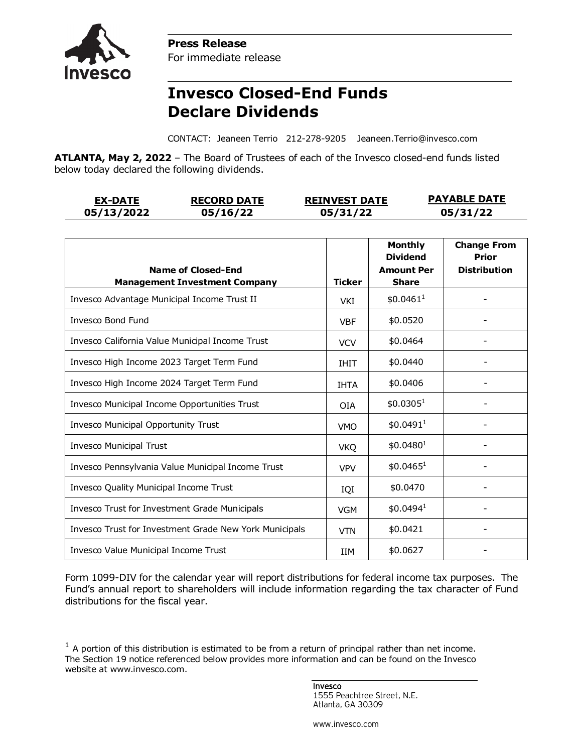

**Press Release** For immediate release

## **Invesco Closed-End Funds Declare Dividends**

CONTACT: Jeaneen Terrio 212-278-9205 Jeaneen.Terrio@invesco.com

**ATLANTA, May 2, 2022** – The Board of Trustees of each of the Invesco closed-end funds listed below today declared the following dividends.

| <b>EX-DATE</b> | <b>RECORD DATE</b> | <b>REINVEST DATE</b> | <b>PAYABLE DATE</b> |
|----------------|--------------------|----------------------|---------------------|
| 05/13/2022     | 05/16/22           | 05/31/22             | 05/31/22            |

| <b>Name of Closed-End</b>                              |               | <b>Monthly</b><br><b>Dividend</b><br><b>Amount Per</b> | <b>Change From</b><br><b>Prior</b><br><b>Distribution</b> |
|--------------------------------------------------------|---------------|--------------------------------------------------------|-----------------------------------------------------------|
| <b>Management Investment Company</b>                   | <b>Ticker</b> | <b>Share</b>                                           |                                                           |
| Invesco Advantage Municipal Income Trust II            | VKI           | \$0.0461 <sup>1</sup>                                  |                                                           |
| <b>Invesco Bond Fund</b>                               | <b>VBF</b>    | \$0.0520                                               |                                                           |
| Invesco California Value Municipal Income Trust        | <b>VCV</b>    | \$0.0464                                               |                                                           |
| Invesco High Income 2023 Target Term Fund              | <b>IHIT</b>   | \$0.0440                                               |                                                           |
| Invesco High Income 2024 Target Term Fund              | <b>IHTA</b>   | \$0.0406                                               |                                                           |
| Invesco Municipal Income Opportunities Trust           | <b>OIA</b>    | \$0.0305 <sup>1</sup>                                  |                                                           |
| Invesco Municipal Opportunity Trust                    | <b>VMO</b>    | \$0.0491 <sup>1</sup>                                  |                                                           |
| <b>Invesco Municipal Trust</b>                         | <b>VKQ</b>    | \$0.0480 <sup>1</sup>                                  |                                                           |
| Invesco Pennsylvania Value Municipal Income Trust      | <b>VPV</b>    | $$0.0465^1$                                            |                                                           |
| Invesco Quality Municipal Income Trust                 | IQI           | \$0.0470                                               |                                                           |
| <b>Invesco Trust for Investment Grade Municipals</b>   | <b>VGM</b>    | \$0.0494 <sup>1</sup>                                  |                                                           |
| Invesco Trust for Investment Grade New York Municipals | <b>VTN</b>    | \$0.0421                                               |                                                           |
| Invesco Value Municipal Income Trust                   | <b>IIM</b>    | \$0.0627                                               |                                                           |

Form 1099-DIV for the calendar year will report distributions for federal income tax purposes. The Fund's annual report to shareholders will include information regarding the tax character of Fund distributions for the fiscal year.

 $1$  A portion of this distribution is estimated to be from a return of principal rather than net income. The Section 19 notice referenced below provides more information and can be found on the Invesco website at www.invesco.com.

> Invesco 1555 Peachtree Street, N.E. Atlanta, GA 30309

www.invesco.com